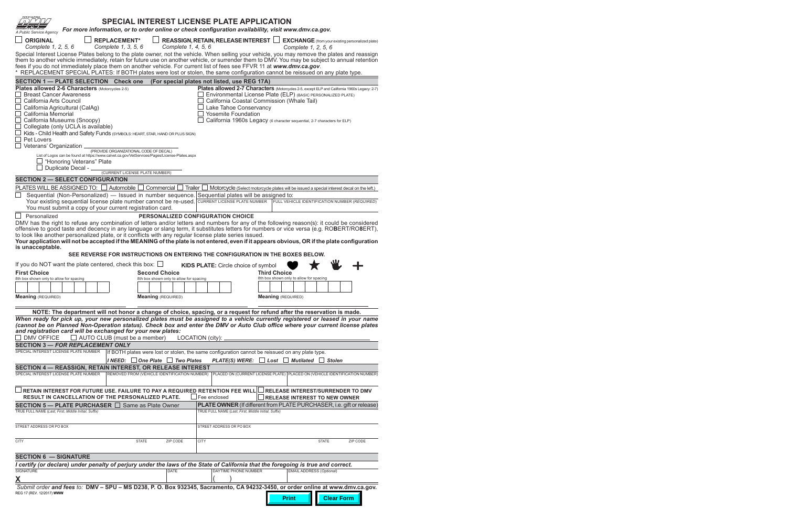| STATE OF CALIFORNI<br>A Public Service Agency                                                                                                                                                                                                                                             | <b>SPECIAL INTEREST LICENSE PLATE APPLICATION</b><br>For more information, or to order online or check configuration availability, visit www.dmv.ca.gov. |                                         |                                                                                                                              |                                                                                              |                   |          |
|-------------------------------------------------------------------------------------------------------------------------------------------------------------------------------------------------------------------------------------------------------------------------------------------|----------------------------------------------------------------------------------------------------------------------------------------------------------|-----------------------------------------|------------------------------------------------------------------------------------------------------------------------------|----------------------------------------------------------------------------------------------|-------------------|----------|
| <b>ORIGINAL</b>                                                                                                                                                                                                                                                                           | <b>REPLACEMENT*</b>                                                                                                                                      |                                         | <b>REASSIGN, RETAIN, RELEASE INTEREST</b>                                                                                    | <b>EXCHANGE</b> (from your existing personalized plate)                                      |                   |          |
| Complete 1, 2, 5, 6                                                                                                                                                                                                                                                                       | Complete 1, 3, 5, 6                                                                                                                                      | Complete 1, 4, 5, 6                     |                                                                                                                              | Complete 1, 2, 5, 6                                                                          |                   |          |
| Special Interest License Plates belong to the plate owner, not the vehicle. When selling your vehicle, you may remove the plates and reassign                                                                                                                                             |                                                                                                                                                          |                                         |                                                                                                                              |                                                                                              |                   |          |
| them to another vehicle immediately, retain for future use on another vehicle, or surrender them to DMV. You may be subject to annual retention<br>fees if you do not immediately place them on another vehicle. For current list of fees see FFVR 11 at www.dmv.ca.gov.                  |                                                                                                                                                          |                                         |                                                                                                                              |                                                                                              |                   |          |
| REPLACEMENT SPECIAL PLATES: If BOTH plates were lost or stolen, the same configuration cannot be reissued on any plate type.                                                                                                                                                              |                                                                                                                                                          |                                         |                                                                                                                              |                                                                                              |                   |          |
| <b>SECTION 1 - PLATE SELECTION Check one</b>                                                                                                                                                                                                                                              |                                                                                                                                                          |                                         | (For special plates not listed, use REG 17A)                                                                                 |                                                                                              |                   |          |
| Plates allowed 2-6 Characters (Motorcycles 2-5)                                                                                                                                                                                                                                           |                                                                                                                                                          |                                         |                                                                                                                              | Plates allowed 2-7 Characters (Motorcycles 2-5, except ELP and California 1960s Legacy: 2-7) |                   |          |
| <b>Breast Cancer Awareness</b>                                                                                                                                                                                                                                                            |                                                                                                                                                          |                                         |                                                                                                                              | Environmental License Plate (ELP) (BASIC PERSONALIZED PLATE)                                 |                   |          |
| California Arts Council<br>California Agricultural (CalAg)                                                                                                                                                                                                                                |                                                                                                                                                          |                                         | Lake Tahoe Conservancy                                                                                                       | California Coastal Commission (Whale Tail)                                                   |                   |          |
| California Memorial                                                                                                                                                                                                                                                                       |                                                                                                                                                          |                                         | <b>Yosemite Foundation</b>                                                                                                   |                                                                                              |                   |          |
| California Museums (Snoopy)                                                                                                                                                                                                                                                               |                                                                                                                                                          |                                         |                                                                                                                              | California 1960s Legacy (6 character sequential, 2-7 characters for ELP)                     |                   |          |
| Collegiate (only UCLA is available)                                                                                                                                                                                                                                                       |                                                                                                                                                          |                                         |                                                                                                                              |                                                                                              |                   |          |
| Kids - Child Health and Safety Funds (SYMBOLS: HEART, STAR, HAND OR PLUS SIGN)<br>Pet Lovers                                                                                                                                                                                              |                                                                                                                                                          |                                         |                                                                                                                              |                                                                                              |                   |          |
| $\Box$ Veterans' Organization .                                                                                                                                                                                                                                                           |                                                                                                                                                          |                                         |                                                                                                                              |                                                                                              |                   |          |
| List of Logos can be found at https://www.calvet.ca.gov/VetServices/Pages/License-Plates.aspx                                                                                                                                                                                             | (PROVIDE ORGANIZATIONAL CODE OF DECAL)                                                                                                                   |                                         |                                                                                                                              |                                                                                              |                   |          |
| "Honoring Veterans" Plate                                                                                                                                                                                                                                                                 |                                                                                                                                                          |                                         |                                                                                                                              |                                                                                              |                   |          |
| Duplicate Decal - _                                                                                                                                                                                                                                                                       | (CURRENT LICENSE PLATE NUMBER)                                                                                                                           |                                         |                                                                                                                              |                                                                                              |                   |          |
| <b>SECTION 2 - SELECT CONFIGURATION</b>                                                                                                                                                                                                                                                   |                                                                                                                                                          |                                         |                                                                                                                              |                                                                                              |                   |          |
| PLATES WILL BE ASSIGNED TO: □ Automobile □ Commercial □ Trailer □ Motorcycle (Select motorcycle plates will be issued a special interest decal on the left.)                                                                                                                              |                                                                                                                                                          |                                         |                                                                                                                              |                                                                                              |                   |          |
| Sequential (Non-Personalized) — Issued in number sequence. Sequential plates will be assigned to:                                                                                                                                                                                         |                                                                                                                                                          |                                         |                                                                                                                              |                                                                                              |                   |          |
| Your existing sequential license plate number cannot be re-used.<br>You must submit a copy of your current registration card.                                                                                                                                                             |                                                                                                                                                          |                                         | <b>CURRENT LICENSE PLATE NUMBER</b>                                                                                          | FULL VEHICLE IDENTIFICATION NUMBER (REQUIRED)                                                |                   |          |
| $\Box$ Personalized                                                                                                                                                                                                                                                                       |                                                                                                                                                          |                                         | <b>PERSONALIZED CONFIGURATION CHOICE</b>                                                                                     |                                                                                              |                   |          |
| DMV has the right to refuse any combination of letters and/or letters and numbers for any of the following reason(s): it could be considered<br>offensive to good taste and decency in any language or slang term, it substitutes letters for numbers or vice versa (e.g. ROBERT/RO8ERT), |                                                                                                                                                          |                                         |                                                                                                                              |                                                                                              |                   |          |
| to look like another personalized plate, or it conflicts with any regular license plate series issued.                                                                                                                                                                                    |                                                                                                                                                          |                                         |                                                                                                                              |                                                                                              |                   |          |
| Your application will not be accepted if the MEANING of the plate is not entered, even if it appears obvious, OR if the plate configuration                                                                                                                                               |                                                                                                                                                          |                                         |                                                                                                                              |                                                                                              |                   |          |
| is unacceptable.                                                                                                                                                                                                                                                                          | SEE REVERSE FOR INSTRUCTIONS ON ENTERING THE CONFIGURATION IN THE BOXES BELOW.                                                                           |                                         |                                                                                                                              |                                                                                              |                   |          |
|                                                                                                                                                                                                                                                                                           |                                                                                                                                                          |                                         |                                                                                                                              |                                                                                              |                   |          |
| If you do NOT want the plate centered, check this box: $\square$                                                                                                                                                                                                                          |                                                                                                                                                          |                                         | KIDS PLATE: Circle choice of symbol                                                                                          |                                                                                              |                   |          |
| <b>First Choice</b><br>8th box shown only to allow for spacing                                                                                                                                                                                                                            | <b>Second Choice</b>                                                                                                                                     | 8th box shown only to allow for spacing |                                                                                                                              | <b>Third Choice</b><br>8th box shown only to allow for spacing                               |                   |          |
|                                                                                                                                                                                                                                                                                           |                                                                                                                                                          |                                         |                                                                                                                              |                                                                                              |                   |          |
|                                                                                                                                                                                                                                                                                           |                                                                                                                                                          |                                         |                                                                                                                              |                                                                                              |                   |          |
| <b>Meaning (REQUIRED)</b>                                                                                                                                                                                                                                                                 | <b>Meaning</b> (REQUIRED)                                                                                                                                |                                         |                                                                                                                              | <b>Meaning (REQUIRED)</b>                                                                    |                   |          |
| NOTE: The department will not honor a change of choice, spacing, or a request for refund after the reservation is made.                                                                                                                                                                   |                                                                                                                                                          |                                         |                                                                                                                              |                                                                                              |                   |          |
| When ready for pick up, your new personalized plates must be assigned to a vehicle currently registered or leased in your name<br>(cannot be on Planned Non-Operation status). Check box and enter the DMV or Auto Club office where your current license plates                          |                                                                                                                                                          |                                         |                                                                                                                              |                                                                                              |                   |          |
| and registration card will be exchanged for your new plates:                                                                                                                                                                                                                              |                                                                                                                                                          |                                         |                                                                                                                              |                                                                                              |                   |          |
| <b>DMV OFFICE</b><br><b>SECTION 3 - FOR REPLACEMENT ONLY</b>                                                                                                                                                                                                                              | $\Box$ AUTO CLUB (must be a member)                                                                                                                      |                                         | LOCATION (city):                                                                                                             |                                                                                              |                   |          |
| SPECIAL INTEREST LICENSE PLATE NUMBER                                                                                                                                                                                                                                                     |                                                                                                                                                          |                                         | If BOTH plates were lost or stolen, the same configuration cannot be reissued on any plate type.                             |                                                                                              |                   |          |
|                                                                                                                                                                                                                                                                                           | $\vert$ I NEED: $\vert$ One Plate                                                                                                                        | <b>Two Plates</b><br>$\Box$             | <b>PLATE(S) WERE:</b>                                                                                                        | $\text{Lost}$<br><b>Mutilated</b>                                                            | $\Box$ Stolen     |          |
| SECTION 4 - REASSIGN, RETAIN INTEREST, OR RELEASE INTEREST                                                                                                                                                                                                                                |                                                                                                                                                          |                                         |                                                                                                                              |                                                                                              |                   |          |
| SPECIAL INTEREST LICENSE PLATE NUMBER                                                                                                                                                                                                                                                     |                                                                                                                                                          |                                         | REMOVED FROM (VEHICLE IDENTIFICATION NUMBER)   PLACED ON (CURRENT LICENSE PLATE)   PLACED ON (VEHICLE IDENTIFICATION NUMBER) |                                                                                              |                   |          |
| $\Box$ RETAIN INTEREST FOR FUTURE USE. FAILURE TO PAY A REQUIRED RETENTION FEE WILL<br><b>RESULT IN CANCELLATION OF THE PERSONALIZED PLATE.</b>                                                                                                                                           |                                                                                                                                                          |                                         | Fee enclosed                                                                                                                 | <b>RELEASE INTEREST/SURRENDER TO DMV</b><br><b>RELEASE INTEREST TO NEW OWNER</b>             |                   |          |
| SECTION 5 — PLATE PURCHASER $\Box$<br>TRUE FULL NAME (Last, First, Middle Initial, Suffix)                                                                                                                                                                                                | Same as Plate Owner                                                                                                                                      |                                         | TRUE FULL NAME (Last, First, Middle Initial, Suffix)                                                                         | <b>PLATE OWNER</b> (If different from PLATE PURCHASER, i.e. gift or release)                 |                   |          |
| STREET ADDRESS OR PO BOX                                                                                                                                                                                                                                                                  |                                                                                                                                                          |                                         | STREET ADDRESS OR PO BOX                                                                                                     |                                                                                              |                   |          |
| <b>CITY</b>                                                                                                                                                                                                                                                                               | <b>STATE</b>                                                                                                                                             | ZIP CODE                                | <b>CITY</b>                                                                                                                  |                                                                                              | <b>STATE</b>      | ZIP CODE |
| <b>SECTION 6 - SIGNATURE</b>                                                                                                                                                                                                                                                              |                                                                                                                                                          |                                         |                                                                                                                              |                                                                                              |                   |          |
| I certify (or declare) under penalty of perjury under the laws of the State of California that the foregoing is true and correct.                                                                                                                                                         |                                                                                                                                                          |                                         |                                                                                                                              |                                                                                              |                   |          |
| <b>SIGNATURE</b>                                                                                                                                                                                                                                                                          |                                                                                                                                                          | <b>DATE</b>                             | DAYTIME PHONE NUMBER                                                                                                         | <b>EMAIL ADDRESS (Optional)</b>                                                              |                   |          |
|                                                                                                                                                                                                                                                                                           |                                                                                                                                                          |                                         |                                                                                                                              |                                                                                              |                   |          |
| Submit order and fees to: DMV - SPU - MS D238, P. O. Box 932345, Sacramento, CA 94232-3450, or order online at www.dmv.ca.gov.<br>REG 17 (REV. 12/2017) WWW                                                                                                                               |                                                                                                                                                          |                                         |                                                                                                                              | <b>Print</b>                                                                                 | <b>Clear Form</b> |          |